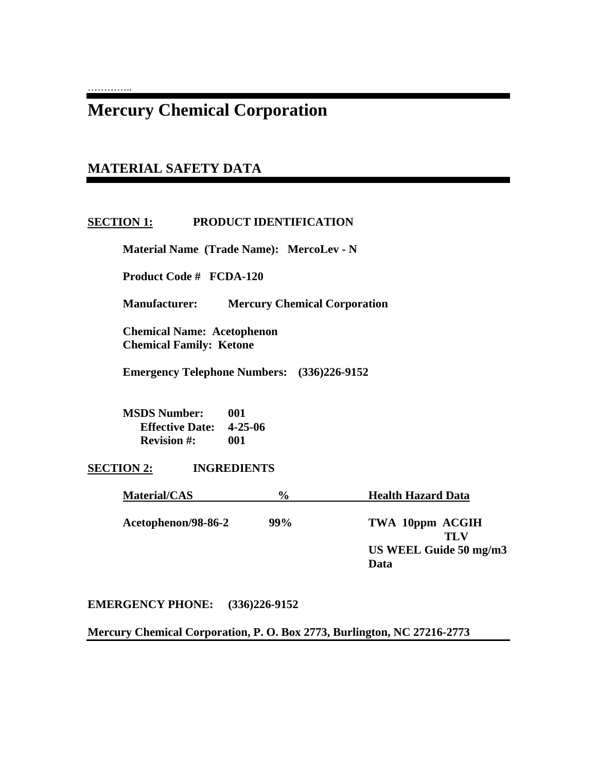# **Mercury Chemical Corporation**

# **MATERIAL SAFETY DATA**

…………..

# **SECTION 1: PRODUCT IDENTIFICATION**

 **Material Name (Trade Name): MercoLev - N** 

 **Product Code # FCDA-120** 

 **Manufacturer: Mercury Chemical Corporation** 

 **Chemical Name: Acetophenon Chemical Family: Ketone** 

 **Emergency Telephone Numbers: (336)226-9152** 

*Data* **Data** 

 **MSDS Number: 001 Effective Date: 4-25-06 Revision #: 001** 

**SECTION 2: INGREDIENTS** 

| Material/CAS        | $\frac{0}{0}$ | <b>Health Hazard Data</b> |
|---------------------|---------------|---------------------------|
| Acetophenon/98-86-2 | 99%           | TWA 10ppm ACGIH<br>TLV    |
|                     |               | US WEEL Guide 50 mg/m3    |

#### **EMERGENCY PHONE: (336)226-9152**

**Mercury Chemical Corporation, P. O. Box 2773, Burlington, NC 27216-2773**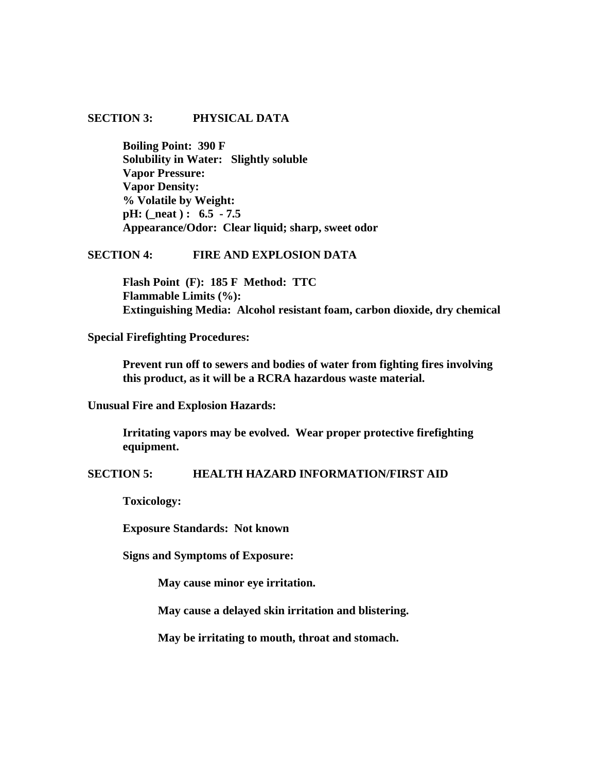### **SECTION 3: PHYSICAL DATA**

 **Boiling Point: 390 F Solubility in Water: Slightly soluble Vapor Pressure: Vapor Density: % Volatile by Weight: pH: (\_neat ) : 6.5 - 7.5 Appearance/Odor: Clear liquid; sharp, sweet odor** 

## **SECTION 4: FIRE AND EXPLOSION DATA**

 **Flash Point (F): 185 F Method: TTC Flammable Limits (%): Extinguishing Media: Alcohol resistant foam, carbon dioxide, dry chemical** 

**Special Firefighting Procedures:** 

 **Prevent run off to sewers and bodies of water from fighting fires involving this product, as it will be a RCRA hazardous waste material.** 

**Unusual Fire and Explosion Hazards:** 

 **Irritating vapors may be evolved. Wear proper protective firefighting equipment.** 

#### **SECTION 5: HEALTH HAZARD INFORMATION/FIRST AID**

 **Toxicology:** 

 **Exposure Standards: Not known** 

 **Signs and Symptoms of Exposure:** 

 **May cause minor eye irritation.** 

**May cause a delayed skin irritation and blistering.** 

**May be irritating to mouth, throat and stomach.**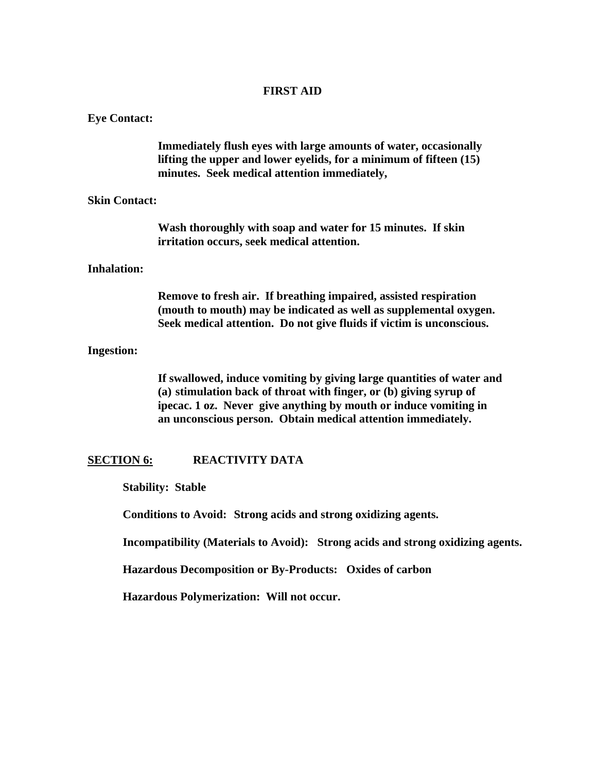## **FIRST AID**

#### **Eye Contact:**

 **Immediately flush eyes with large amounts of water, occasionally lifting the upper and lower eyelids, for a minimum of fifteen (15) minutes. Seek medical attention immediately,** 

#### **Skin Contact:**

 **Wash thoroughly with soap and water for 15 minutes. If skin irritation occurs, seek medical attention.** 

#### **Inhalation:**

 **Remove to fresh air. If breathing impaired, assisted respiration (mouth to mouth) may be indicated as well as supplemental oxygen. Seek medical attention. Do not give fluids if victim is unconscious.** 

#### **Ingestion:**

 **If swallowed, induce vomiting by giving large quantities of water and (a) stimulation back of throat with finger, or (b) giving syrup of ipecac. 1 oz. Never give anything by mouth or induce vomiting in an unconscious person. Obtain medical attention immediately.** 

#### **SECTION 6: REACTIVITY DATA**

 **Stability: Stable** 

 **Conditions to Avoid: Strong acids and strong oxidizing agents.** 

 **Incompatibility (Materials to Avoid): Strong acids and strong oxidizing agents.** 

 **Hazardous Decomposition or By-Products: Oxides of carbon** 

 **Hazardous Polymerization: Will not occur.**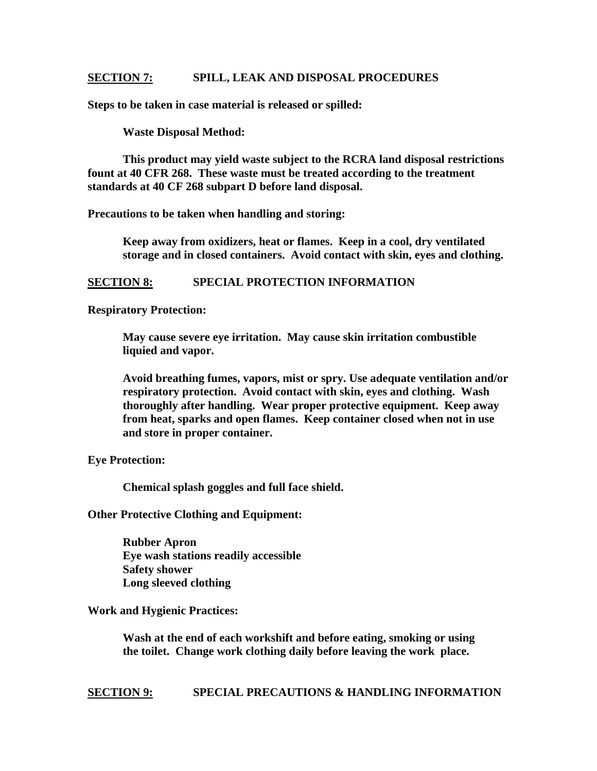#### **SECTION 7: SPILL, LEAK AND DISPOSAL PROCEDURES**

**Steps to be taken in case material is released or spilled:** 

 **Waste Disposal Method:** 

 **This product may yield waste subject to the RCRA land disposal restrictions fount at 40 CFR 268. These waste must be treated according to the treatment standards at 40 CF 268 subpart D before land disposal.** 

**Precautions to be taken when handling and storing:** 

 **Keep away from oxidizers, heat or flames. Keep in a cool, dry ventilated storage and in closed containers. Avoid contact with skin, eyes and clothing.** 

# **SECTION 8: SPECIAL PROTECTION INFORMATION**

**Respiratory Protection:** 

**May cause severe eye irritation. May cause skin irritation combustible liquied and vapor.** 

**Avoid breathing fumes, vapors, mist or spry. Use adequate ventilation and/or respiratory protection. Avoid contact with skin, eyes and clothing. Wash thoroughly after handling. Wear proper protective equipment. Keep away from heat, sparks and open flames. Keep container closed when not in use and store in proper container.** 

**Eye Protection:** 

 **Chemical splash goggles and full face shield.** 

**Other Protective Clothing and Equipment:** 

 **Rubber Apron Eye wash stations readily accessible Safety shower Long sleeved clothing** 

**Work and Hygienic Practices:** 

 **Wash at the end of each workshift and before eating, smoking or using the toilet. Change work clothing daily before leaving the work place.** 

**SECTION 9: SPECIAL PRECAUTIONS & HANDLING INFORMATION**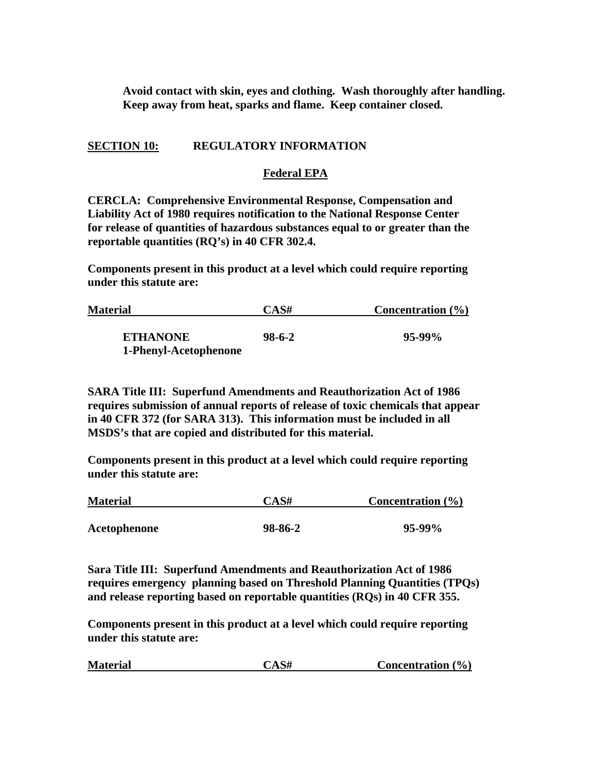**Avoid contact with skin, eyes and clothing. Wash thoroughly after handling. Keep away from heat, sparks and flame. Keep container closed.** 

# **SECTION 10: REGULATORY INFORMATION**

#### **Federal EPA**

**CERCLA: Comprehensive Environmental Response, Compensation and Liability Act of 1980 requires notification to the National Response Center for release of quantities of hazardous substances equal to or greater than the reportable quantities (RQ's) in 40 CFR 302.4.** 

**Components present in this product at a level which could require reporting under this statute are:** 

| Concentration $(\% )$ |  |
|-----------------------|--|
| $95-99\%$             |  |
|                       |  |

**SARA Title III: Superfund Amendments and Reauthorization Act of 1986 requires submission of annual reports of release of toxic chemicals that appear in 40 CFR 372 (for SARA 313). This information must be included in all MSDS's that are copied and distributed for this material.** 

**Components present in this product at a level which could require reporting under this statute are:** 

| <b>Material</b> | CAS#    | Concentration $(\% )$ |  |
|-----------------|---------|-----------------------|--|
|                 |         |                       |  |
| Acetophenone    | 98-86-2 | $95-99\%$             |  |

**Sara Title III: Superfund Amendments and Reauthorization Act of 1986 requires emergency planning based on Threshold Planning Quantities (TPQs) and release reporting based on reportable quantities (RQs) in 40 CFR 355.** 

**Components present in this product at a level which could require reporting under this statute are:** 

| CAS#<br><b>Material</b> | Concentration $(\% )$ |
|-------------------------|-----------------------|
|-------------------------|-----------------------|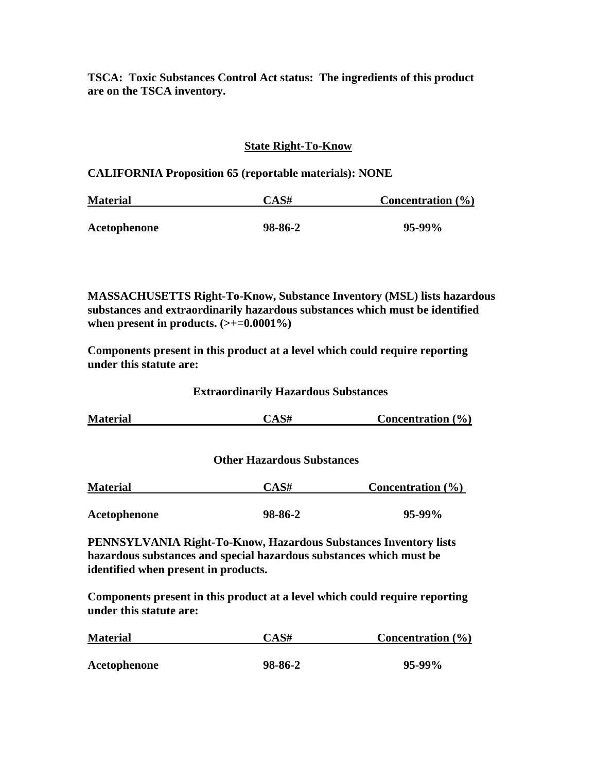**TSCA: Toxic Substances Control Act status: The ingredients of this product are on the TSCA inventory.** 

# **State Right-To-Know**

**CALIFORNIA Proposition 65 (reportable materials): NONE** 

| <b>Material</b> | CAS#    | <b>Concentration</b> $(\%)$ |  |
|-----------------|---------|-----------------------------|--|
|                 |         |                             |  |
| Acetophenone    | 98-86-2 | $95-99\%$                   |  |

**MASSACHUSETTS Right-To-Know, Substance Inventory (MSL) lists hazardous substances and extraordinarily hazardous substances which must be identified when present in products. (>+=0.0001%)** 

**Components present in this product at a level which could require reporting under this statute are:** 

 **Extraordinarily Hazardous Substances** 

| <b>Material</b>                      | CAS#                                                                    | Concentration $(\% )$ |
|--------------------------------------|-------------------------------------------------------------------------|-----------------------|
|                                      | <b>Other Hazardous Substances</b>                                       |                       |
| <b>Material</b>                      | CAS#                                                                    | Concentration $(\% )$ |
| Acetophenone                         | 98-86-2                                                                 | $95-99\%$             |
|                                      | <b>PENNSYLVANIA Right-To-Know, Hazardous Substances Inventory lists</b> |                       |
|                                      | hazardous substances and special hazardous substances which must be     |                       |
| identified when present in products. |                                                                         |                       |

**Components present in this product at a level which could require reporting under this statute are:** 

| <b>Material</b> | CAS#    | Concentration $(\% )$ |  |
|-----------------|---------|-----------------------|--|
|                 |         |                       |  |
| Acetophenone    | 98-86-2 | $95-99\%$             |  |